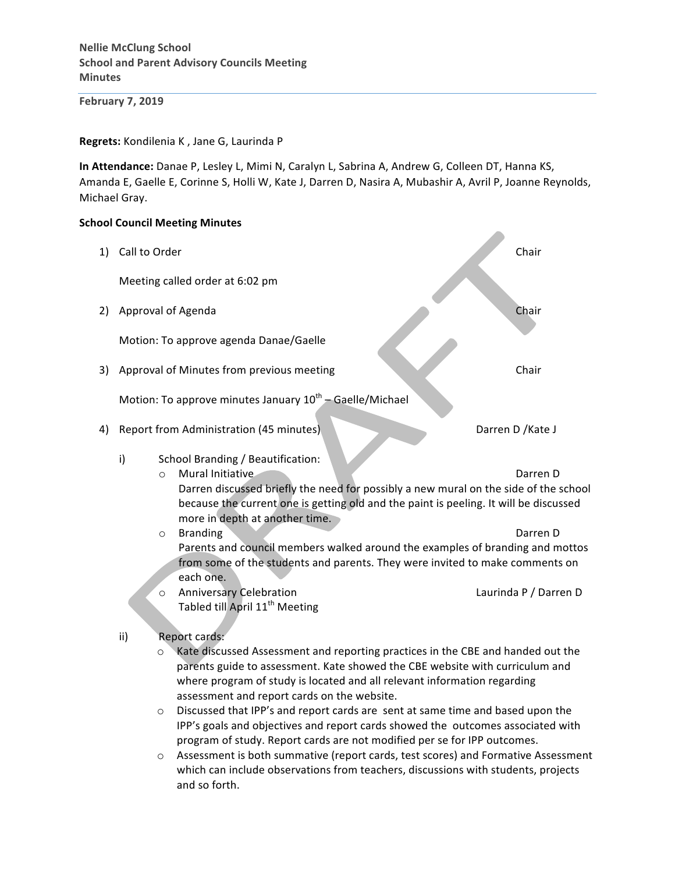**February 7, 2019**

## **Regrets:** Kondilenia K, Jane G, Laurinda P

and so forth. 

**In Attendance:** Danae P, Lesley L, Mimi N, Caralyn L, Sabrina A, Andrew G, Colleen DT, Hanna KS, Amanda E, Gaelle E, Corinne S, Holli W, Kate J, Darren D, Nasira A, Mubashir A, Avril P, Joanne Reynolds, Michael Gray.

## **School Council Meeting Minutes**

1) Call to Order Chair Meeting called order at 6:02 pm 2) Approval of Agenda Chair Chair Chair Chair Chair Chair Chair Chair Chair Chair Chair Chair Chair Chair Chair Motion: To approve agenda Danae/Gaelle 3) Approval of Minutes from previous meeting **Altana Chair** Chair Motion: To approve minutes January  $10^{th}$  – Gaelle/Michael 4) Report from Administration (45 minutes) Darren D /Kate J i) School Branding / Beautification: o Mural Initiative **Darren Disk and American** Darren D Darren discussed briefly the need for possibly a new mural on the side of the school because the current one is getting old and the paint is peeling. It will be discussed more in depth at another time. o Branding and the state of the state of the state of the Darren D Parents and council members walked around the examples of branding and mottos from some of the students and parents. They were invited to make comments on each one. o Anniversary Celebration **Laurinda** P / Darren D Tabled till April  $11^{th}$  Meeting ii) Report cards:  $\circ$  Kate discussed Assessment and reporting practices in the CBE and handed out the parents guide to assessment. Kate showed the CBE website with curriculum and where program of study is located and all relevant information regarding assessment and report cards on the website.  $\circ$  Discussed that IPP's and report cards are sent at same time and based upon the IPP's goals and objectives and report cards showed the outcomes associated with program of study. Report cards are not modified per se for IPP outcomes.  $\circ$  Assessment is both summative (report cards, test scores) and Formative Assessment which can include observations from teachers, discussions with students, projects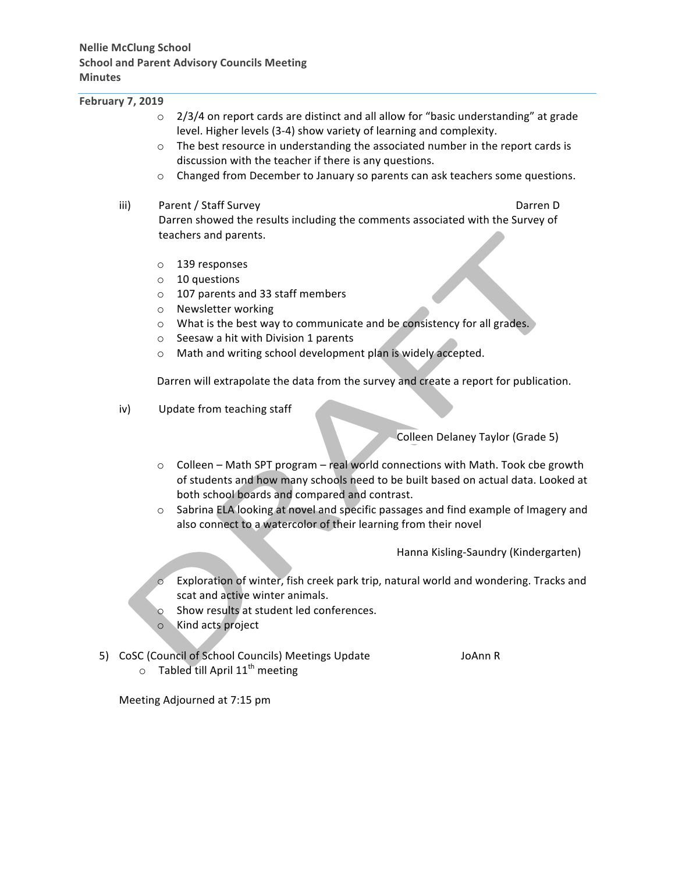| <b>February 7, 2019</b>                                                                                                            |                                                                                                                                                                       |  |  |
|------------------------------------------------------------------------------------------------------------------------------------|-----------------------------------------------------------------------------------------------------------------------------------------------------------------------|--|--|
|                                                                                                                                    | 2/3/4 on report cards are distinct and all allow for "basic understanding" at grade<br>$\circ$<br>level. Higher levels (3-4) show variety of learning and complexity. |  |  |
|                                                                                                                                    | The best resource in understanding the associated number in the report cards is<br>$\circ$                                                                            |  |  |
|                                                                                                                                    | discussion with the teacher if there is any questions.                                                                                                                |  |  |
|                                                                                                                                    | Changed from December to January so parents can ask teachers some questions.<br>$\circ$                                                                               |  |  |
| iii)                                                                                                                               | Parent / Staff Survey<br>Darren D                                                                                                                                     |  |  |
|                                                                                                                                    | Darren showed the results including the comments associated with the Survey of                                                                                        |  |  |
|                                                                                                                                    | teachers and parents.                                                                                                                                                 |  |  |
|                                                                                                                                    |                                                                                                                                                                       |  |  |
|                                                                                                                                    | 139 responses<br>$\circ$                                                                                                                                              |  |  |
|                                                                                                                                    | 10 questions<br>$\circ$                                                                                                                                               |  |  |
|                                                                                                                                    | 107 parents and 33 staff members<br>$\circ$                                                                                                                           |  |  |
|                                                                                                                                    | Newsletter working<br>$\circ$                                                                                                                                         |  |  |
|                                                                                                                                    | What is the best way to communicate and be consistency for all grades.<br>$\circ$                                                                                     |  |  |
|                                                                                                                                    | Seesaw a hit with Division 1 parents<br>$\circ$                                                                                                                       |  |  |
|                                                                                                                                    | Math and writing school development plan is widely accepted.<br>$\circ$                                                                                               |  |  |
|                                                                                                                                    | Darren will extrapolate the data from the survey and create a report for publication.                                                                                 |  |  |
| iv)                                                                                                                                | Update from teaching staff                                                                                                                                            |  |  |
|                                                                                                                                    |                                                                                                                                                                       |  |  |
|                                                                                                                                    | Colleen Delaney Taylor (Grade 5)                                                                                                                                      |  |  |
|                                                                                                                                    |                                                                                                                                                                       |  |  |
|                                                                                                                                    | Colleen - Math SPT program - real world connections with Math. Took cbe growth<br>$\circ$                                                                             |  |  |
|                                                                                                                                    | of students and how many schools need to be built based on actual data. Looked at                                                                                     |  |  |
|                                                                                                                                    | both school boards and compared and contrast.                                                                                                                         |  |  |
|                                                                                                                                    | Sabrina ELA looking at novel and specific passages and find example of Imagery and<br>$\circ$                                                                         |  |  |
|                                                                                                                                    | also connect to a watercolor of their learning from their novel                                                                                                       |  |  |
|                                                                                                                                    |                                                                                                                                                                       |  |  |
|                                                                                                                                    | Hanna Kisling-Saundry (Kindergarten)                                                                                                                                  |  |  |
|                                                                                                                                    |                                                                                                                                                                       |  |  |
| Exploration of winter, fish creek park trip, natural world and wondering. Tracks and<br>$\circ$<br>scat and active winter animals. |                                                                                                                                                                       |  |  |
|                                                                                                                                    | Show results at student led conferences.                                                                                                                              |  |  |
|                                                                                                                                    | Ю<br>Kind acts project                                                                                                                                                |  |  |
|                                                                                                                                    | $\circ$                                                                                                                                                               |  |  |
|                                                                                                                                    |                                                                                                                                                                       |  |  |
|                                                                                                                                    | 5) CoSC (Council of School Councils) Meetings Update<br>JoAnn R                                                                                                       |  |  |
| Tabled till April 11 <sup>th</sup> meeting<br>$\Omega$                                                                             |                                                                                                                                                                       |  |  |
|                                                                                                                                    |                                                                                                                                                                       |  |  |
| Meeting Adjourned at 7:15 pm                                                                                                       |                                                                                                                                                                       |  |  |
|                                                                                                                                    |                                                                                                                                                                       |  |  |
|                                                                                                                                    |                                                                                                                                                                       |  |  |